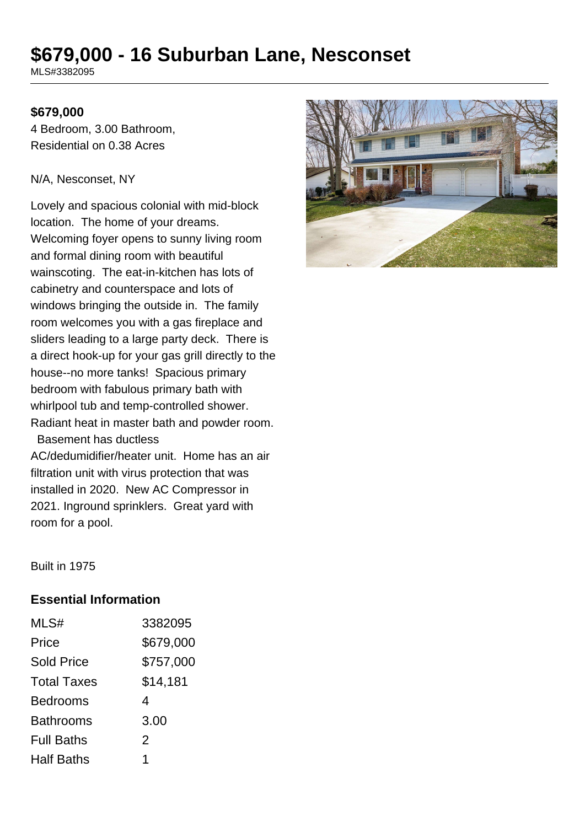# **\$679,000 - 16 Suburban Lane, Nesconset**

MLS#3382095

#### **\$679,000**

4 Bedroom, 3.00 Bathroom, Residential on 0.38 Acres

#### N/A, Nesconset, NY

Lovely and spacious colonial with mid-block location. The home of your dreams. Welcoming foyer opens to sunny living room and formal dining room with beautiful wainscoting. The eat-in-kitchen has lots of cabinetry and counterspace and lots of windows bringing the outside in. The family room welcomes you with a gas fireplace and sliders leading to a large party deck. There is a direct hook-up for your gas grill directly to the house--no more tanks! Spacious primary bedroom with fabulous primary bath with whirlpool tub and temp-controlled shower. Radiant heat in master bath and powder room. Basement has ductless

AC/dedumidifier/heater unit. Home has an air filtration unit with virus protection that was installed in 2020. New AC Compressor in 2021. Inground sprinklers. Great yard with room for a pool.



Built in 1975

#### **Essential Information**

| MLS#               | 3382095   |
|--------------------|-----------|
| Price              | \$679,000 |
| <b>Sold Price</b>  | \$757,000 |
| <b>Total Taxes</b> | \$14,181  |
| <b>Bedrooms</b>    | 4         |
| <b>Bathrooms</b>   | 3.00      |
| <b>Full Baths</b>  | 2         |
| <b>Half Baths</b>  | 1         |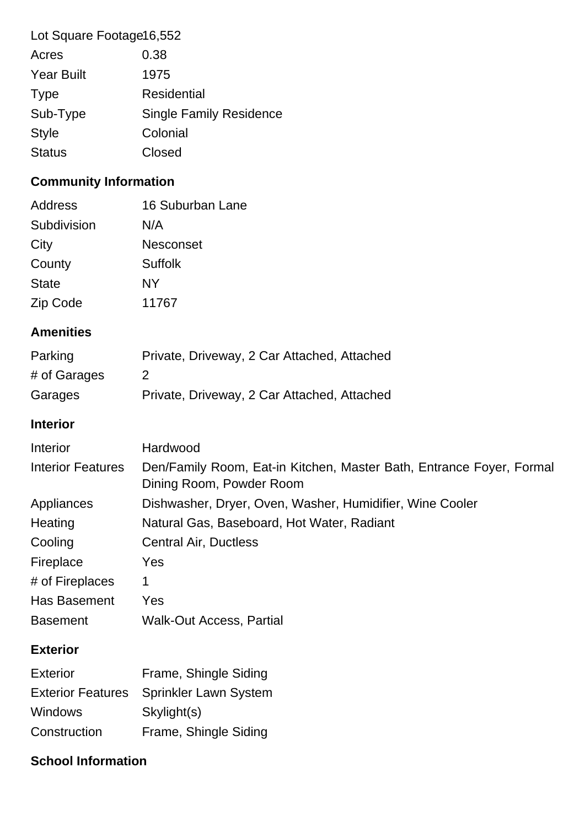| Lot Square Footage16,552     |                                                                                                  |
|------------------------------|--------------------------------------------------------------------------------------------------|
| Acres                        | 0.38                                                                                             |
| <b>Year Built</b>            | 1975                                                                                             |
| <b>Type</b>                  | <b>Residential</b>                                                                               |
| Sub-Type                     | <b>Single Family Residence</b>                                                                   |
| <b>Style</b>                 | Colonial                                                                                         |
| <b>Status</b>                | Closed                                                                                           |
| <b>Community Information</b> |                                                                                                  |
| <b>Address</b>               | 16 Suburban Lane                                                                                 |
| Subdivision                  | N/A                                                                                              |
| City                         | <b>Nesconset</b>                                                                                 |
| County                       | <b>Suffolk</b>                                                                                   |
| <b>State</b>                 | NY                                                                                               |
| Zip Code                     | 11767                                                                                            |
| <b>Amenities</b>             |                                                                                                  |
| Parking                      | Private, Driveway, 2 Car Attached, Attached                                                      |
| # of Garages                 | $\overline{2}$                                                                                   |
| Garages                      | Private, Driveway, 2 Car Attached, Attached                                                      |
|                              |                                                                                                  |
| <b>Interior</b>              |                                                                                                  |
| Interior                     | Hardwood                                                                                         |
| <b>Interior Features</b>     | Den/Family Room, Eat-in Kitchen, Master Bath, Entrance Foyer, Formal<br>Dining Room, Powder Room |
| Appliances                   | Dishwasher, Dryer, Oven, Washer, Humidifier, Wine Cooler                                         |
| Heating                      | Natural Gas, Baseboard, Hot Water, Radiant                                                       |
| Cooling                      | Central Air, Ductless                                                                            |
| Fireplace                    | Yes                                                                                              |
| # of Fireplaces              | 1                                                                                                |
| Has Basement                 | Yes                                                                                              |
| <b>Basement</b>              | <b>Walk-Out Access, Partial</b>                                                                  |
| <b>Exterior</b>              |                                                                                                  |
| <b>Exterior</b>              | Frame, Shingle Siding                                                                            |
| <b>Exterior Features</b>     | Sprinkler Lawn System                                                                            |
| <b>Windows</b>               | Skylight(s)                                                                                      |

# **School Information**